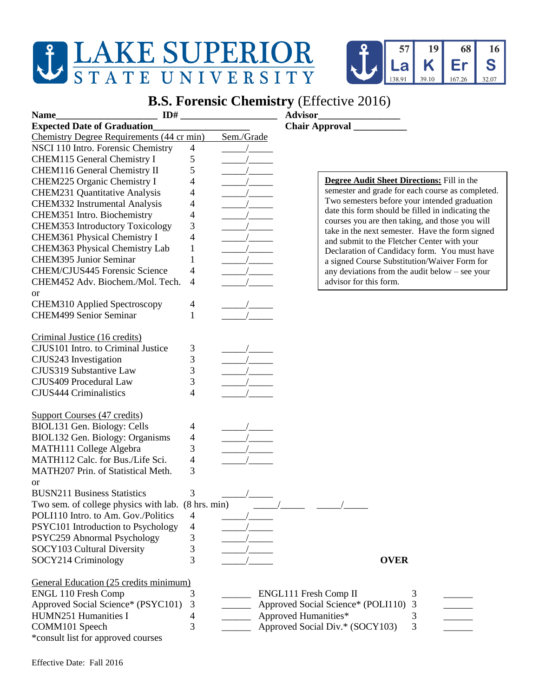## LAKE SUPERIOR

Chemistry Degree Requirements (44 cr min) Sem./Grade

CHEM116 General Chemistry II 5

NSCI 110 Intro. Forensic Chemistry 4 CHEM115 General Chemistry I 5



## **B.S. Forensic Chemistry** (Effective 2016)

| CHEM225 Organic Chemistry I<br><b>CHEM231 Quantitative Analysis</b><br>CHEM332 Instrumental Analysis<br>CHEM351 Intro. Biochemistry<br><b>CHEM353 Introductory Toxicology</b><br>CHEM361 Physical Chemistry I<br>CHEM363 Physical Chemistry Lab<br><b>CHEM395 Junior Seminar</b> | 4<br>4<br>4<br>4<br>3<br>4<br>1<br>$\mathbf{1}$ |                                    | Degree Audit Sheet Directions: Fill in th<br>semester and grade for each course as con<br>Two semesters before your intended gradu<br>date this form should be filled in indicatin<br>courses you are then taking, and those you<br>take in the next semester. Have the form<br>and submit to the Fletcher Center with you<br>Declaration of Candidacy form. You mus<br>a signed Course Substitution/Waiver Forn |  |
|----------------------------------------------------------------------------------------------------------------------------------------------------------------------------------------------------------------------------------------------------------------------------------|-------------------------------------------------|------------------------------------|------------------------------------------------------------------------------------------------------------------------------------------------------------------------------------------------------------------------------------------------------------------------------------------------------------------------------------------------------------------------------------------------------------------|--|
| CHEM/CJUS445 Forensic Science<br>CHEM452 Adv. Biochem./Mol. Tech.                                                                                                                                                                                                                | 4<br>4                                          |                                    | any deviations from the audit below - see<br>advisor for this form.                                                                                                                                                                                                                                                                                                                                              |  |
| <b>or</b>                                                                                                                                                                                                                                                                        |                                                 |                                    |                                                                                                                                                                                                                                                                                                                                                                                                                  |  |
| CHEM310 Applied Spectroscopy                                                                                                                                                                                                                                                     | $\overline{4}$                                  |                                    |                                                                                                                                                                                                                                                                                                                                                                                                                  |  |
| <b>CHEM499 Senior Seminar</b>                                                                                                                                                                                                                                                    | $\mathbf{1}$                                    |                                    |                                                                                                                                                                                                                                                                                                                                                                                                                  |  |
| Criminal Justice (16 credits)                                                                                                                                                                                                                                                    |                                                 |                                    |                                                                                                                                                                                                                                                                                                                                                                                                                  |  |
| CJUS101 Intro. to Criminal Justice                                                                                                                                                                                                                                               | 3                                               |                                    |                                                                                                                                                                                                                                                                                                                                                                                                                  |  |
| CJUS243 Investigation                                                                                                                                                                                                                                                            | 3                                               |                                    |                                                                                                                                                                                                                                                                                                                                                                                                                  |  |
| CJUS319 Substantive Law                                                                                                                                                                                                                                                          | 3                                               |                                    |                                                                                                                                                                                                                                                                                                                                                                                                                  |  |
| CJUS409 Procedural Law                                                                                                                                                                                                                                                           | 3                                               |                                    |                                                                                                                                                                                                                                                                                                                                                                                                                  |  |
| <b>CJUS444 Criminalistics</b>                                                                                                                                                                                                                                                    | 4                                               |                                    |                                                                                                                                                                                                                                                                                                                                                                                                                  |  |
| <b>Support Courses (47 credits)</b>                                                                                                                                                                                                                                              |                                                 |                                    |                                                                                                                                                                                                                                                                                                                                                                                                                  |  |
| BIOL131 Gen. Biology: Cells                                                                                                                                                                                                                                                      | 4                                               |                                    |                                                                                                                                                                                                                                                                                                                                                                                                                  |  |
| BIOL132 Gen. Biology: Organisms                                                                                                                                                                                                                                                  | 4                                               |                                    |                                                                                                                                                                                                                                                                                                                                                                                                                  |  |
| MATH111 College Algebra                                                                                                                                                                                                                                                          | 3                                               |                                    |                                                                                                                                                                                                                                                                                                                                                                                                                  |  |
| MATH112 Calc. for Bus./Life Sci.                                                                                                                                                                                                                                                 | 4                                               |                                    |                                                                                                                                                                                                                                                                                                                                                                                                                  |  |
| MATH207 Prin. of Statistical Meth.                                                                                                                                                                                                                                               | 3                                               |                                    |                                                                                                                                                                                                                                                                                                                                                                                                                  |  |
| <b>or</b>                                                                                                                                                                                                                                                                        |                                                 |                                    |                                                                                                                                                                                                                                                                                                                                                                                                                  |  |
| <b>BUSN211 Business Statistics</b>                                                                                                                                                                                                                                               | 3                                               |                                    |                                                                                                                                                                                                                                                                                                                                                                                                                  |  |
| Two sem. of college physics with lab. (8 hrs. min)                                                                                                                                                                                                                               |                                                 |                                    |                                                                                                                                                                                                                                                                                                                                                                                                                  |  |
| POLI110 Intro. to Am. Gov./Politics                                                                                                                                                                                                                                              | $\overline{4}$                                  |                                    |                                                                                                                                                                                                                                                                                                                                                                                                                  |  |
| PSYC101 Introduction to Psychology                                                                                                                                                                                                                                               | $\overline{4}$                                  |                                    |                                                                                                                                                                                                                                                                                                                                                                                                                  |  |
| PSYC259 Abnormal Psychology                                                                                                                                                                                                                                                      | 3                                               |                                    |                                                                                                                                                                                                                                                                                                                                                                                                                  |  |
| SOCY103 Cultural Diversity                                                                                                                                                                                                                                                       | 3                                               |                                    |                                                                                                                                                                                                                                                                                                                                                                                                                  |  |
| SOCY214 Criminology                                                                                                                                                                                                                                                              | 3                                               |                                    | <b>OVER</b>                                                                                                                                                                                                                                                                                                                                                                                                      |  |
| General Education (25 credits minimum)                                                                                                                                                                                                                                           |                                                 |                                    |                                                                                                                                                                                                                                                                                                                                                                                                                  |  |
| <b>ENGL 110 Fresh Comp</b>                                                                                                                                                                                                                                                       | 3                                               | ENGL111 Fresh Comp II              | 3                                                                                                                                                                                                                                                                                                                                                                                                                |  |
| Approved Social Science* (PSYC101)                                                                                                                                                                                                                                               | $\mathfrak{Z}$                                  | Approved Social Science* (POLI110) | 3                                                                                                                                                                                                                                                                                                                                                                                                                |  |
| HUMN251 Humanities I                                                                                                                                                                                                                                                             | 4                                               | Approved Humanities*               | 3                                                                                                                                                                                                                                                                                                                                                                                                                |  |
|                                                                                                                                                                                                                                                                                  |                                                 |                                    |                                                                                                                                                                                                                                                                                                                                                                                                                  |  |

**Name\_\_\_\_\_\_\_\_\_\_\_\_\_\_\_\_\_\_\_\_\_ ID# \_\_\_\_\_\_\_\_\_\_\_\_\_\_\_\_\_\_\_\_ Advisor\_\_\_\_\_\_\_\_\_\_\_\_\_\_\_\_\_ Expected Date of Graduation\_\_\_\_\_\_\_\_\_\_\_\_\_\_\_\_\_\_\_\_ Chair Approval \_\_\_\_\_\_\_\_\_\_\_**

> **Degree Audit Sheet Directions:** Fill in the semester and grade for each course as completed. Two semesters before your intended graduation date this form should be filled in indicating the courses you are then taking, and those you will take in the next semester. Have the form signed and submit to the Fletcher Center with your Declaration of Candidacy form. You must have a signed Course Substitution/Waiver Form for any deviations from the audit below – see your advisor for this form.

| ENGL111 Fresh Comp II                |  |
|--------------------------------------|--|
| Approved Social Science* (POLI110) 3 |  |
| Approved Humanities*                 |  |

COMM101 Speech 3 \_\_\_\_\_\_ Approved Social Div.\* (SOCY103) 3

- 
- 

\*consult list for approved courses